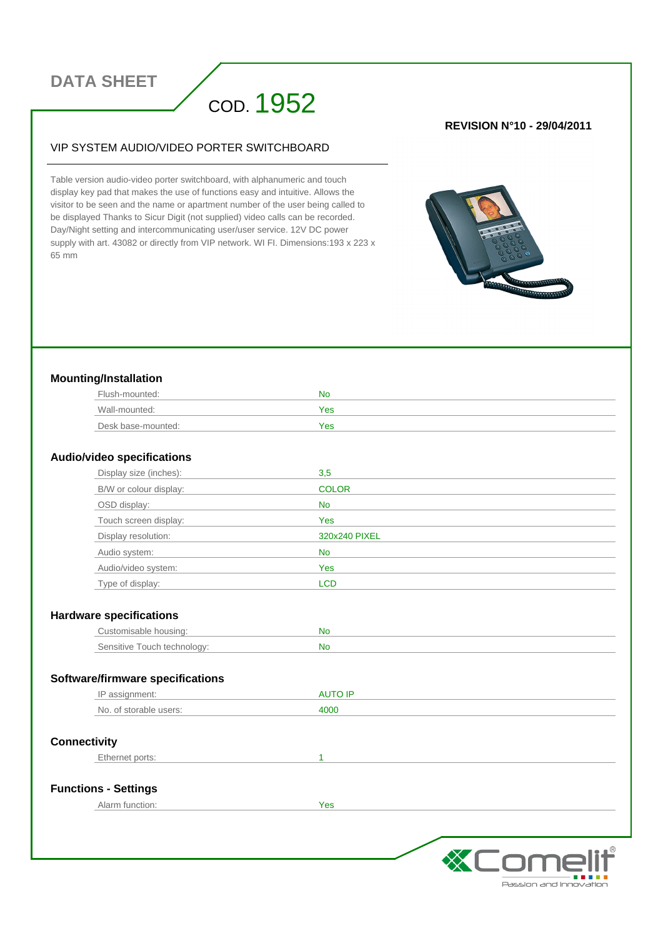# **DATA SHEET**

# COD. 1952

#### VIP SYSTEM AUDIO/VIDEO PORTER SWITCHBOARD

Table version audio-video porter switchboard, with alphanumeric and touch display key pad that makes the use of functions easy and intuitive. Allows the visitor to be seen and the name or apartment number of the user being called to be displayed Thanks to Sicur Digit (not supplied) video calls can be recorded. Day/Night setting and intercommunicating user/user service. 12V DC power supply with art. 43082 or directly from VIP network. WI FI. Dimensions:193 x 223 x 65 mm

#### **REVISION N°10 - 29/04/2011**



#### **Mounting/Installation**

| Flush-mounted:     | No         |
|--------------------|------------|
| Wall-mounted:      | <b>Yes</b> |
| Desk base-mounted: | Yes        |

#### **Audio/video specifications**

| Display size (inches): | 3,5           |
|------------------------|---------------|
| B/W or colour display: | <b>COLOR</b>  |
| OSD display:           | <b>No</b>     |
| Touch screen display:  | Yes           |
| Display resolution:    | 320x240 PIXEL |
| Audio system:          | No.           |
| Audio/video system:    | Yes           |
| Type of display:       | <b>LCD</b>    |

#### **Hardware specifications**

| Justomisable housing:       | M  |
|-----------------------------|----|
| Sensitive Touch technology: | NL |

#### **Software/firmware specifications**

| ΙC                                              |      |
|-------------------------------------------------|------|
| No.<br>$\sim$ f<br>lisers <sup>.</sup><br>ahle. | 4000 |

#### **Connectivity**

Ethernet ports: 1

#### **Functions - Settings**

Alarm function:  $Yes$